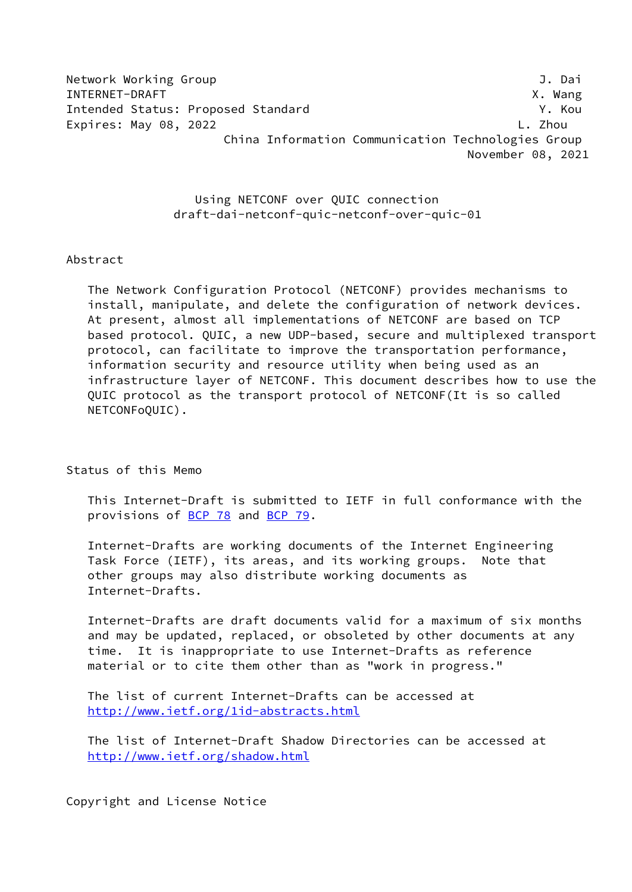Network Working Group **J. Dail and Struck Working Group** INTERNET-DRAFT X. Wang Intended Status: Proposed Standard Y. Kou Expires: May 08, 2022 L. Zhou China Information Communication Technologies Group November 08, 2021

> Using NETCONF over QUIC connection draft-dai-netconf-quic-netconf-over-quic-01

Abstract

 The Network Configuration Protocol (NETCONF) provides mechanisms to install, manipulate, and delete the configuration of network devices. At present, almost all implementations of NETCONF are based on TCP based protocol. QUIC, a new UDP-based, secure and multiplexed transport protocol, can facilitate to improve the transportation performance, information security and resource utility when being used as an infrastructure layer of NETCONF. This document describes how to use the QUIC protocol as the transport protocol of NETCONF(It is so called NETCONFoQUIC).

Status of this Memo

 This Internet-Draft is submitted to IETF in full conformance with the provisions of [BCP 78](https://datatracker.ietf.org/doc/pdf/bcp78) and [BCP 79](https://datatracker.ietf.org/doc/pdf/bcp79).

 Internet-Drafts are working documents of the Internet Engineering Task Force (IETF), its areas, and its working groups. Note that other groups may also distribute working documents as Internet-Drafts.

 Internet-Drafts are draft documents valid for a maximum of six months and may be updated, replaced, or obsoleted by other documents at any time. It is inappropriate to use Internet-Drafts as reference material or to cite them other than as "work in progress."

 The list of current Internet-Drafts can be accessed at <http://www.ietf.org/1id-abstracts.html>

 The list of Internet-Draft Shadow Directories can be accessed at <http://www.ietf.org/shadow.html>

Copyright and License Notice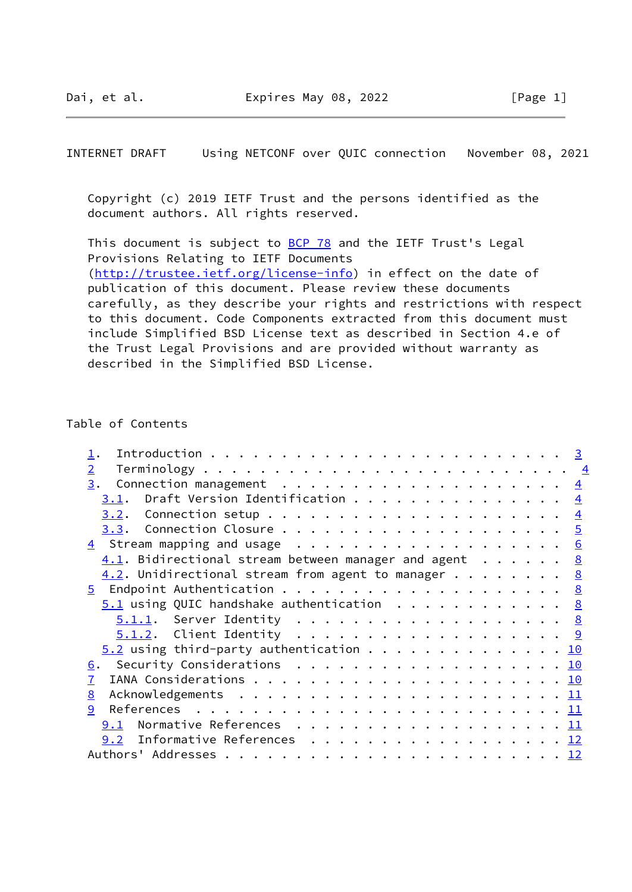INTERNET DRAFT Using NETCONF over QUIC connection November 08, 2021

 Copyright (c) 2019 IETF Trust and the persons identified as the document authors. All rights reserved.

This document is subject to **[BCP 78](https://datatracker.ietf.org/doc/pdf/bcp78)** and the IETF Trust's Legal Provisions Relating to IETF Documents [\(http://trustee.ietf.org/license-info](http://trustee.ietf.org/license-info)) in effect on the date of publication of this document. Please review these documents carefully, as they describe your rights and restrictions with respect to this document. Code Components extracted from this document must include Simplified BSD License text as described in Section 4.e of the Trust Legal Provisions and are provided without warranty as described in the Simplified BSD License.

# Table of Contents

| $\overline{2}$                                          |  |
|---------------------------------------------------------|--|
| 3.<br>Connection management $\cdots$ 4                  |  |
| 3.1. Draft Version Identification $\frac{4}{5}$         |  |
|                                                         |  |
|                                                         |  |
|                                                         |  |
| $4.1.$ Bidirectional stream between manager and agent 8 |  |
| $4.2$ . Unidirectional stream from agent to manager 8   |  |
|                                                         |  |
| $5.1$ using QUIC handshake authentication 8             |  |
| <u> 5.1.1</u> . Server Identity <u>8</u>                |  |
|                                                         |  |
| $5.2$ using third-party authentication 10               |  |
| 6. Security Considerations 10                           |  |
| $\mathbf{7}$                                            |  |
| 8                                                       |  |
| 9                                                       |  |
| 9.1                                                     |  |
| 9.2 Informative References 12                           |  |
|                                                         |  |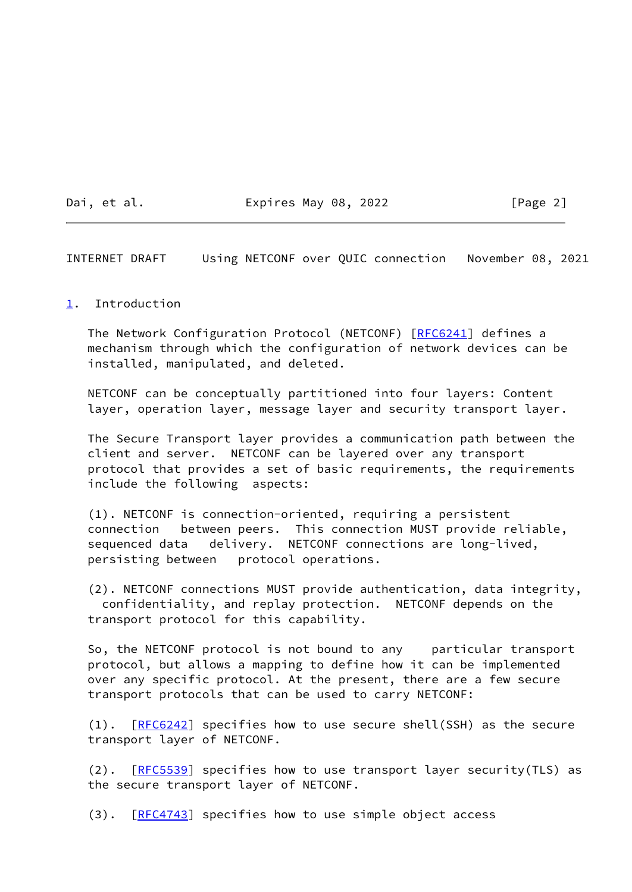Dai, et al. **Expires May 08, 2022** [Page 2]

<span id="page-2-1"></span>INTERNET DRAFT Using NETCONF over QUIC connection November 08, 2021

# <span id="page-2-0"></span>[1](#page-2-0). Introduction

The Network Configuration Protocol (NETCONF) [\[RFC6241](https://datatracker.ietf.org/doc/pdf/rfc6241)] defines a mechanism through which the configuration of network devices can be installed, manipulated, and deleted.

 NETCONF can be conceptually partitioned into four layers: Content layer, operation layer, message layer and security transport layer.

 The Secure Transport layer provides a communication path between the client and server. NETCONF can be layered over any transport protocol that provides a set of basic requirements, the requirements include the following aspects:

 (1). NETCONF is connection-oriented, requiring a persistent connection between peers. This connection MUST provide reliable, sequenced data delivery. NETCONF connections are long-lived, persisting between protocol operations.

 (2). NETCONF connections MUST provide authentication, data integrity, confidentiality, and replay protection. NETCONF depends on the transport protocol for this capability.

 So, the NETCONF protocol is not bound to any particular transport protocol, but allows a mapping to define how it can be implemented over any specific protocol. At the present, there are a few secure transport protocols that can be used to carry NETCONF:

(1). [[RFC6242](https://datatracker.ietf.org/doc/pdf/rfc6242)] specifies how to use secure shell(SSH) as the secure transport layer of NETCONF.

(2). [[RFC5539](https://datatracker.ietf.org/doc/pdf/rfc5539)] specifies how to use transport layer security(TLS) as the secure transport layer of NETCONF.

(3). [[RFC4743](https://datatracker.ietf.org/doc/pdf/rfc4743)] specifies how to use simple object access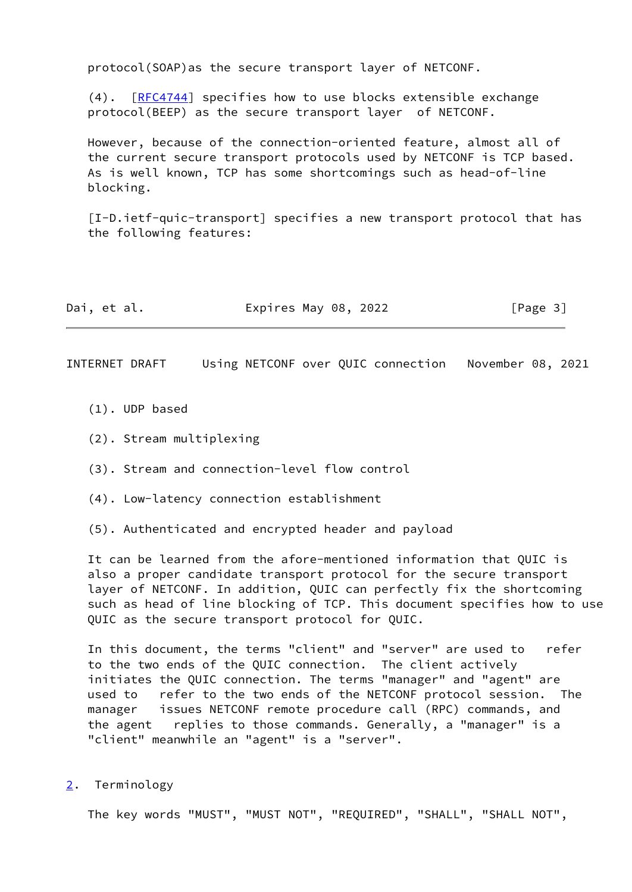protocol(SOAP)as the secure transport layer of NETCONF.

 (4). [[RFC4744](https://datatracker.ietf.org/doc/pdf/rfc4744)] specifies how to use blocks extensible exchange protocol(BEEP) as the secure transport layer of NETCONF.

 However, because of the connection-oriented feature, almost all of the current secure transport protocols used by NETCONF is TCP based. As is well known, TCP has some shortcomings such as head-of-line blocking.

<span id="page-3-2"></span> [I-D.ietf-quic-transport] specifies a new transport protocol that has the following features:

| Expires May 08, 2022<br>Dai, et al. | [Page 3] |
|-------------------------------------|----------|
|-------------------------------------|----------|

<span id="page-3-1"></span>INTERNET DRAFT Using NETCONF over QUIC connection November 08, 2021

- (1). UDP based
- (2). Stream multiplexing
- (3). Stream and connection-level flow control
- (4). Low-latency connection establishment
- (5). Authenticated and encrypted header and payload

 It can be learned from the afore-mentioned information that QUIC is also a proper candidate transport protocol for the secure transport layer of NETCONF. In addition, QUIC can perfectly fix the shortcoming such as head of line blocking of TCP. This document specifies how to use QUIC as the secure transport protocol for QUIC.

 In this document, the terms "client" and "server" are used to refer to the two ends of the QUIC connection. The client actively initiates the QUIC connection. The terms "manager" and "agent" are used to refer to the two ends of the NETCONF protocol session. The manager issues NETCONF remote procedure call (RPC) commands, and the agent replies to those commands. Generally, a "manager" is a "client" meanwhile an "agent" is a "server".

<span id="page-3-0"></span>[2](#page-3-0). Terminology

The key words "MUST", "MUST NOT", "REQUIRED", "SHALL", "SHALL NOT",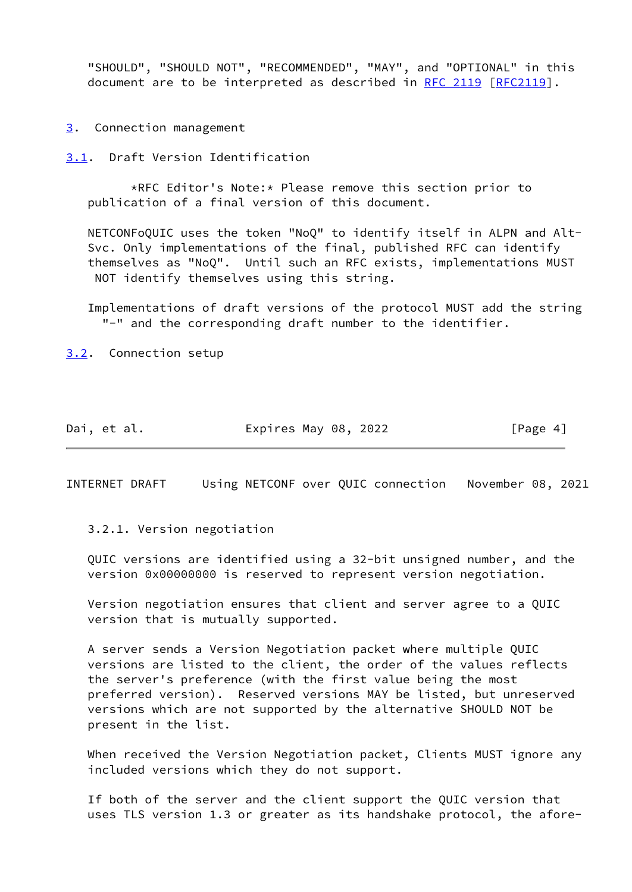"SHOULD", "SHOULD NOT", "RECOMMENDED", "MAY", and "OPTIONAL" in this document are to be interpreted as described in [RFC 2119 \[RFC2119](https://datatracker.ietf.org/doc/pdf/rfc2119)].

<span id="page-4-0"></span>[3](#page-4-0). Connection management

<span id="page-4-1"></span>[3.1](#page-4-1). Draft Version Identification

 \*RFC Editor's Note:\* Please remove this section prior to publication of a final version of this document.

 NETCONFoQUIC uses the token "NoQ" to identify itself in ALPN and Alt- Svc. Only implementations of the final, published RFC can identify themselves as "NoQ". Until such an RFC exists, implementations MUST NOT identify themselves using this string.

 Implementations of draft versions of the protocol MUST add the string "-" and the corresponding draft number to the identifier.

<span id="page-4-2"></span>[3.2](#page-4-2). Connection setup

Dai, et al. **Expires May 08, 2022** [Page 4]

<span id="page-4-3"></span>INTERNET DRAFT Using NETCONF over QUIC connection November 08, 2021

3.2.1. Version negotiation

 QUIC versions are identified using a 32-bit unsigned number, and the version 0x00000000 is reserved to represent version negotiation.

 Version negotiation ensures that client and server agree to a QUIC version that is mutually supported.

 A server sends a Version Negotiation packet where multiple QUIC versions are listed to the client, the order of the values reflects the server's preference (with the first value being the most preferred version). Reserved versions MAY be listed, but unreserved versions which are not supported by the alternative SHOULD NOT be present in the list.

 When received the Version Negotiation packet, Clients MUST ignore any included versions which they do not support.

 If both of the server and the client support the QUIC version that uses TLS version 1.3 or greater as its handshake protocol, the afore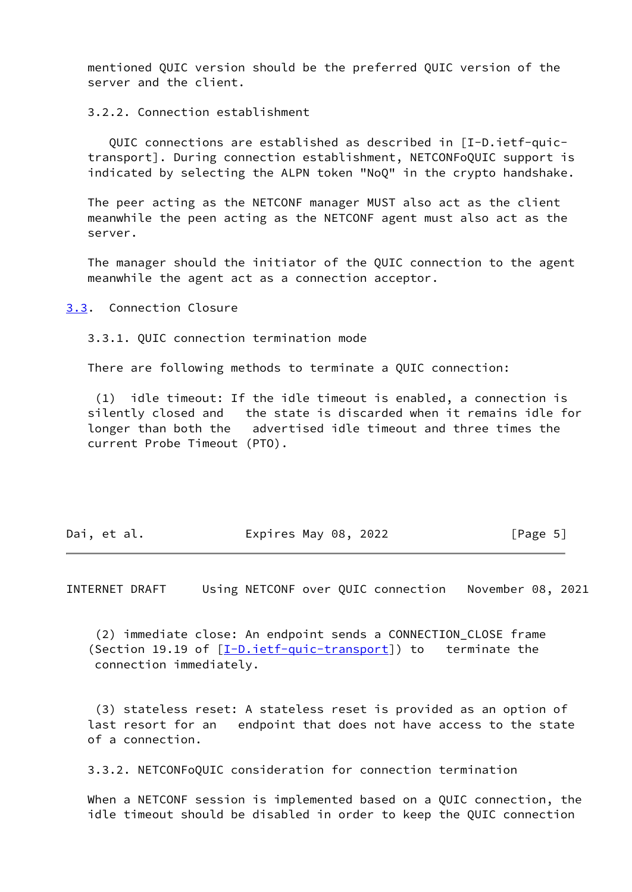mentioned QUIC version should be the preferred QUIC version of the server and the client.

3.2.2. Connection establishment

 QUIC connections are established as described in [I-D.ietf-quic transport]. During connection establishment, NETCONFoQUIC support is indicated by selecting the ALPN token "NoQ" in the crypto handshake.

 The peer acting as the NETCONF manager MUST also act as the client meanwhile the peen acting as the NETCONF agent must also act as the server.

 The manager should the initiator of the QUIC connection to the agent meanwhile the agent act as a connection acceptor.

<span id="page-5-0"></span>[3.3](#page-5-0). Connection Closure

3.3.1. QUIC connection termination mode

There are following methods to terminate a QUIC connection:

 (1) idle timeout: If the idle timeout is enabled, a connection is silently closed and the state is discarded when it remains idle for longer than both the advertised idle timeout and three times the current Probe Timeout (PTO).

| Dai, et al. | Expires May 08, 2022 |  | [Page 5] |
|-------------|----------------------|--|----------|
|-------------|----------------------|--|----------|

<span id="page-5-1"></span>INTERNET DRAFT Using NETCONF over QUIC connection November 08, 2021

 (2) immediate close: An endpoint sends a CONNECTION\_CLOSE frame (Section 19.19 of  $[I-D.iett-quic-transport]$ ) to terminate the connection immediately.

 (3) stateless reset: A stateless reset is provided as an option of last resort for an endpoint that does not have access to the state of a connection.

3.3.2. NETCONFoQUIC consideration for connection termination

 When a NETCONF session is implemented based on a QUIC connection, the idle timeout should be disabled in order to keep the QUIC connection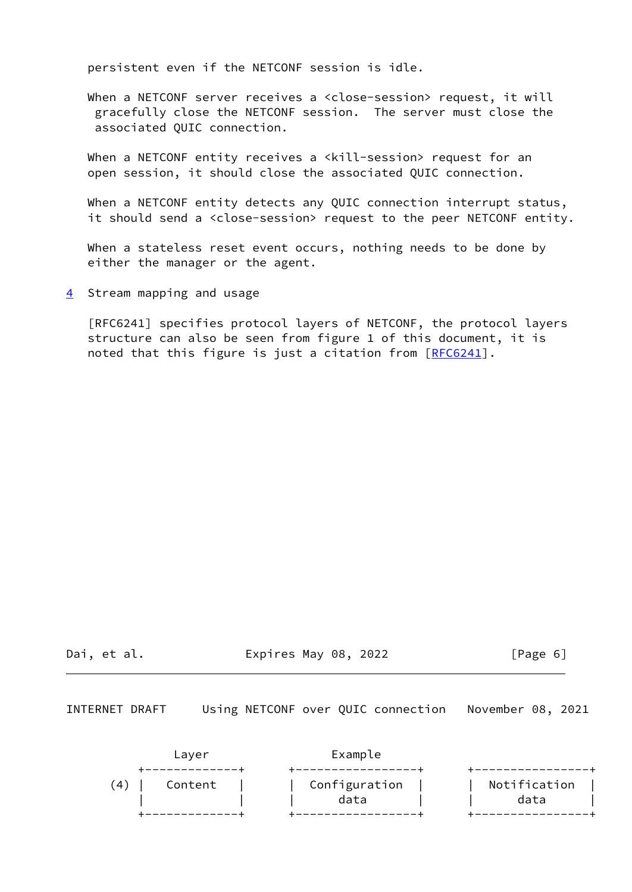persistent even if the NETCONF session is idle.

When a NETCONF server receives a <close-session> request, it will gracefully close the NETCONF session. The server must close the associated QUIC connection.

When a NETCONF entity receives a <kill-session> request for an open session, it should close the associated QUIC connection.

 When a NETCONF entity detects any QUIC connection interrupt status, it should send a <close-session> request to the peer NETCONF entity.

 When a stateless reset event occurs, nothing needs to be done by either the manager or the agent.

<span id="page-6-0"></span>[4](#page-6-0) Stream mapping and usage

 [RFC6241] specifies protocol layers of NETCONF, the protocol layers structure can also be seen from figure 1 of this document, it is noted that this figure is just a citation from [\[RFC6241](https://datatracker.ietf.org/doc/pdf/rfc6241)].

Dai, et al. Expires May 08, 2022 [Page 6]

INTERNET DRAFT Using NETCONF over QUIC connection November 08, 2021

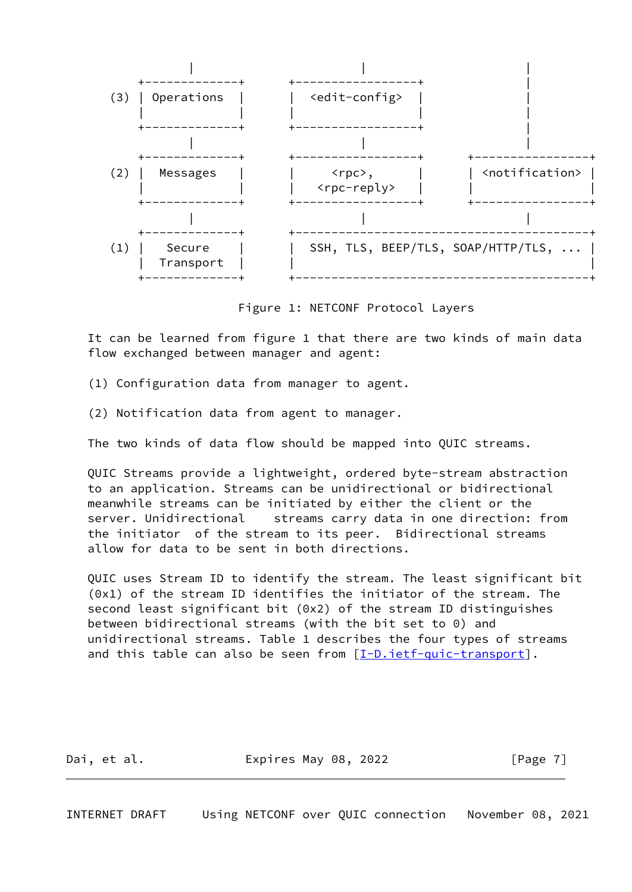

Figure 1: NETCONF Protocol Layers

 It can be learned from figure 1 that there are two kinds of main data flow exchanged between manager and agent:

- (1) Configuration data from manager to agent.
- (2) Notification data from agent to manager.

The two kinds of data flow should be mapped into QUIC streams.

 QUIC Streams provide a lightweight, ordered byte-stream abstraction to an application. Streams can be unidirectional or bidirectional meanwhile streams can be initiated by either the client or the server. Unidirectional streams carry data in one direction: from the initiator of the stream to its peer. Bidirectional streams allow for data to be sent in both directions.

 QUIC uses Stream ID to identify the stream. The least significant bit (0x1) of the stream ID identifies the initiator of the stream. The second least significant bit (0x2) of the stream ID distinguishes between bidirectional streams (with the bit set to 0) and unidirectional streams. Table 1 describes the four types of streams and this table can also be seen from  $[\underline{I-D.i}etf-quic-transport]$ .

| Dai, et al. | Expires May 08, 2022 | [Page 7] |
|-------------|----------------------|----------|
|             |                      |          |

<span id="page-7-0"></span>INTERNET DRAFT Using NETCONF over QUIC connection November 08, 2021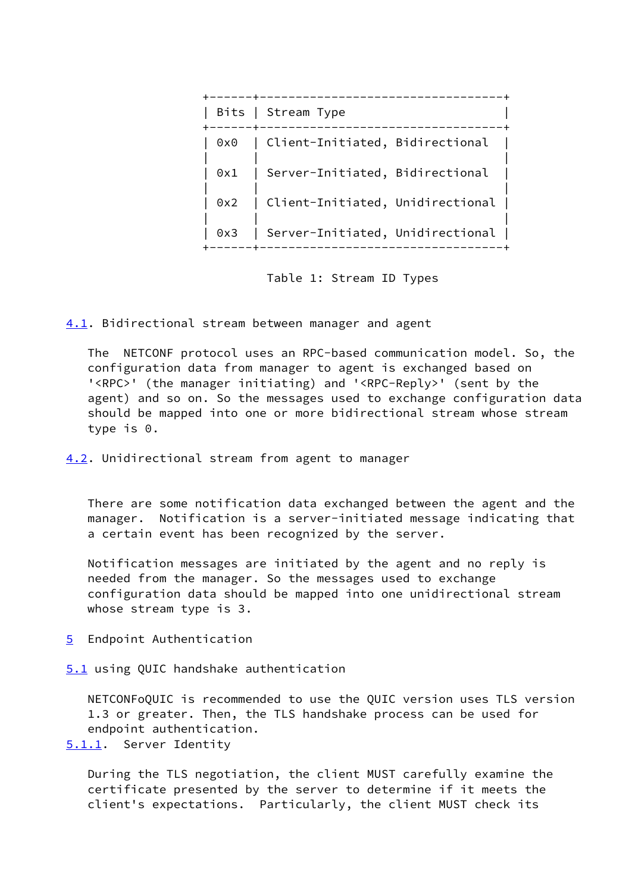|     | Bits   Stream Type               |
|-----|----------------------------------|
| 0x0 | Client-Initiated, Bidirectional  |
| 0x1 | Server-Initiated, Bidirectional  |
| 0x2 | Client-Initiated, Unidirectional |
| 0x3 | Server-Initiated, Unidirectional |
|     |                                  |

Table 1: Stream ID Types

<span id="page-8-0"></span>[4.1](#page-8-0). Bidirectional stream between manager and agent

 The NETCONF protocol uses an RPC-based communication model. So, the configuration data from manager to agent is exchanged based on '<RPC>' (the manager initiating) and '<RPC-Reply>' (sent by the agent) and so on. So the messages used to exchange configuration data should be mapped into one or more bidirectional stream whose stream type is 0.

<span id="page-8-1"></span>[4.2](#page-8-1). Unidirectional stream from agent to manager

 There are some notification data exchanged between the agent and the manager. Notification is a server-initiated message indicating that a certain event has been recognized by the server.

 Notification messages are initiated by the agent and no reply is needed from the manager. So the messages used to exchange configuration data should be mapped into one unidirectional stream whose stream type is 3.

<span id="page-8-2"></span>[5](#page-8-2) Endpoint Authentication

<span id="page-8-3"></span>[5.1](#page-8-3) using QUIC handshake authentication

 NETCONFoQUIC is recommended to use the QUIC version uses TLS version 1.3 or greater. Then, the TLS handshake process can be used for endpoint authentication.

<span id="page-8-4"></span>[5.1.1](#page-8-4). Server Identity

 During the TLS negotiation, the client MUST carefully examine the certificate presented by the server to determine if it meets the client's expectations. Particularly, the client MUST check its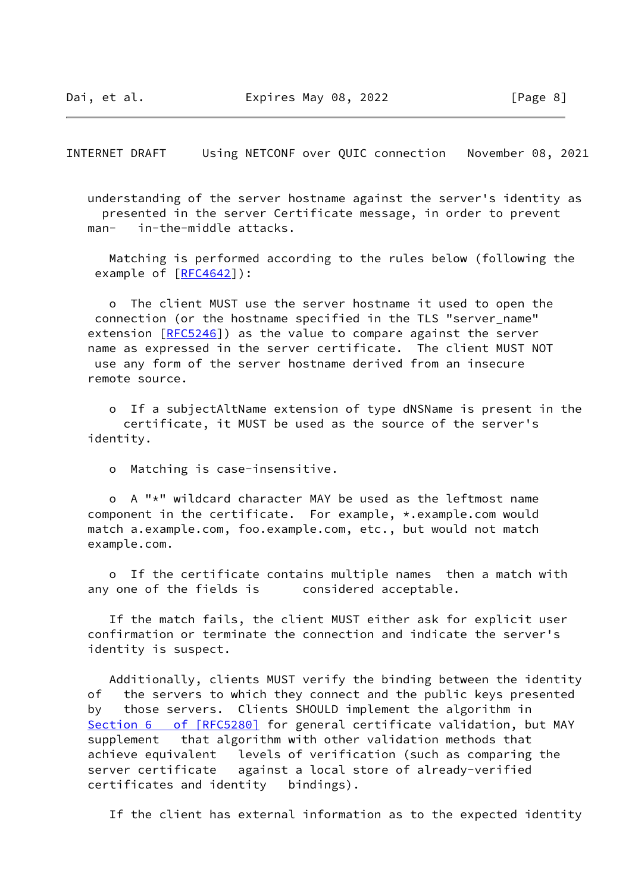<span id="page-9-0"></span>INTERNET DRAFT Using NETCONF over QUIC connection November 08, 2021

 understanding of the server hostname against the server's identity as presented in the server Certificate message, in order to prevent man- in-the-middle attacks.

 Matching is performed according to the rules below (following the example of [\[RFC4642](https://datatracker.ietf.org/doc/pdf/rfc4642)]):

 o The client MUST use the server hostname it used to open the connection (or the hostname specified in the TLS "server\_name" extension [[RFC5246](https://datatracker.ietf.org/doc/pdf/rfc5246)]) as the value to compare against the server name as expressed in the server certificate. The client MUST NOT use any form of the server hostname derived from an insecure remote source.

 o If a subjectAltName extension of type dNSName is present in the certificate, it MUST be used as the source of the server's identity.

o Matching is case-insensitive.

 o A "\*" wildcard character MAY be used as the leftmost name component in the certificate. For example, \*.example.com would match a.example.com, foo.example.com, etc., but would not match example.com.

 o If the certificate contains multiple names then a match with any one of the fields is considered acceptable.

 If the match fails, the client MUST either ask for explicit user confirmation or terminate the connection and indicate the server's identity is suspect.

 Additionally, clients MUST verify the binding between the identity of the servers to which they connect and the public keys presented by those servers. Clients SHOULD implement the algorithm in Section [6 of \[RFC5280\]](https://datatracker.ietf.org/doc/pdf/rfc5280#section-6) for general certificate validation, but MAY supplement that algorithm with other validation methods that achieve equivalent levels of verification (such as comparing the server certificate against a local store of already-verified certificates and identity bindings).

If the client has external information as to the expected identity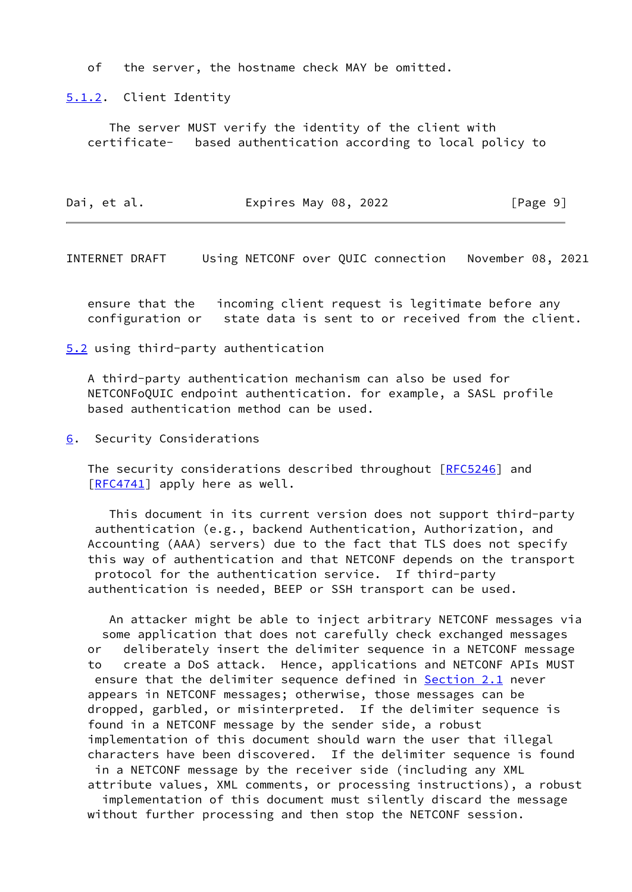of the server, the hostname check MAY be omitted.

<span id="page-10-0"></span>[5.1.2](#page-10-0). Client Identity

 The server MUST verify the identity of the client with certificate- based authentication according to local policy to

| Dai, et al. | Expires May 08, 2022 | [Page 9] |
|-------------|----------------------|----------|
|-------------|----------------------|----------|

<span id="page-10-2"></span>INTERNET DRAFT Using NETCONF over QUIC connection November 08, 2021

 ensure that the incoming client request is legitimate before any configuration or state data is sent to or received from the client.

<span id="page-10-1"></span>[5.2](#page-10-1) using third-party authentication

 A third-party authentication mechanism can also be used for NETCONFoQUIC endpoint authentication. for example, a SASL profile based authentication method can be used.

<span id="page-10-3"></span>[6](#page-10-3). Security Considerations

The security considerations described throughout [\[RFC5246](https://datatracker.ietf.org/doc/pdf/rfc5246)] and [\[RFC4741](https://datatracker.ietf.org/doc/pdf/rfc4741)] apply here as well.

 This document in its current version does not support third-party authentication (e.g., backend Authentication, Authorization, and Accounting (AAA) servers) due to the fact that TLS does not specify this way of authentication and that NETCONF depends on the transport protocol for the authentication service. If third-party authentication is needed, BEEP or SSH transport can be used.

 An attacker might be able to inject arbitrary NETCONF messages via some application that does not carefully check exchanged messages or deliberately insert the delimiter sequence in a NETCONF message to create a DoS attack. Hence, applications and NETCONF APIs MUST ensure that the delimiter sequence defined in **Section 2.1** never appears in NETCONF messages; otherwise, those messages can be dropped, garbled, or misinterpreted. If the delimiter sequence is found in a NETCONF message by the sender side, a robust implementation of this document should warn the user that illegal characters have been discovered. If the delimiter sequence is found in a NETCONF message by the receiver side (including any XML

attribute values, XML comments, or processing instructions), a robust

 implementation of this document must silently discard the message without further processing and then stop the NETCONF session.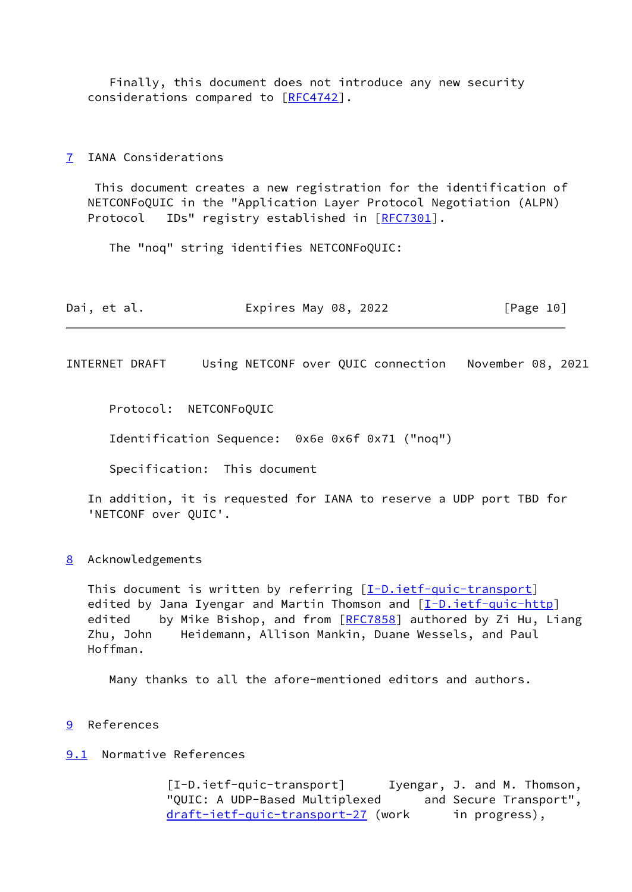Finally, this document does not introduce any new security considerations compared to [[RFC4742\]](https://datatracker.ietf.org/doc/pdf/rfc4742).

#### <span id="page-11-0"></span>[7](#page-11-0) IANA Considerations

 This document creates a new registration for the identification of NETCONFoQUIC in the "Application Layer Protocol Negotiation (ALPN) Protocol IDs" registry established in [\[RFC7301](https://datatracker.ietf.org/doc/pdf/rfc7301)].

The "noq" string identifies NETCONFoQUIC:

| Dai, et al. | Expires May 08, 2022 | [Page 10] |
|-------------|----------------------|-----------|
|-------------|----------------------|-----------|

<span id="page-11-2"></span>INTERNET DRAFT Using NETCONF over QUIC connection November 08, 2021

Protocol: NETCONFoQUIC

Identification Sequence: 0x6e 0x6f 0x71 ("noq")

Specification: This document

 In addition, it is requested for IANA to reserve a UDP port TBD for 'NETCONF over QUIC'.

<span id="page-11-1"></span>[8](#page-11-1) Acknowledgements

This document is written by referring [[I-D.ietf-quic-transport](#page-3-2)] edited by Jana Iyengar and Martin Thomson and  $[I-D.iett-quic-http]$ edited by Mike Bishop, and from  $[REC7858]$  authored by Zi Hu, Liang Zhu, John Heidemann, Allison Mankin, Duane Wessels, and Paul Hoffman.

Many thanks to all the afore-mentioned editors and authors.

<span id="page-11-3"></span>[9](#page-11-3) References

### <span id="page-11-4"></span>[9.1](#page-11-4) Normative References

 [I-D.ietf-quic-transport] Iyengar, J. and M. Thomson, "QUIC: A UDP-Based Multiplexed and Secure Transport", [draft-ietf-quic-transport-27](https://datatracker.ietf.org/doc/pdf/draft-ietf-quic-transport-27) (work in progress),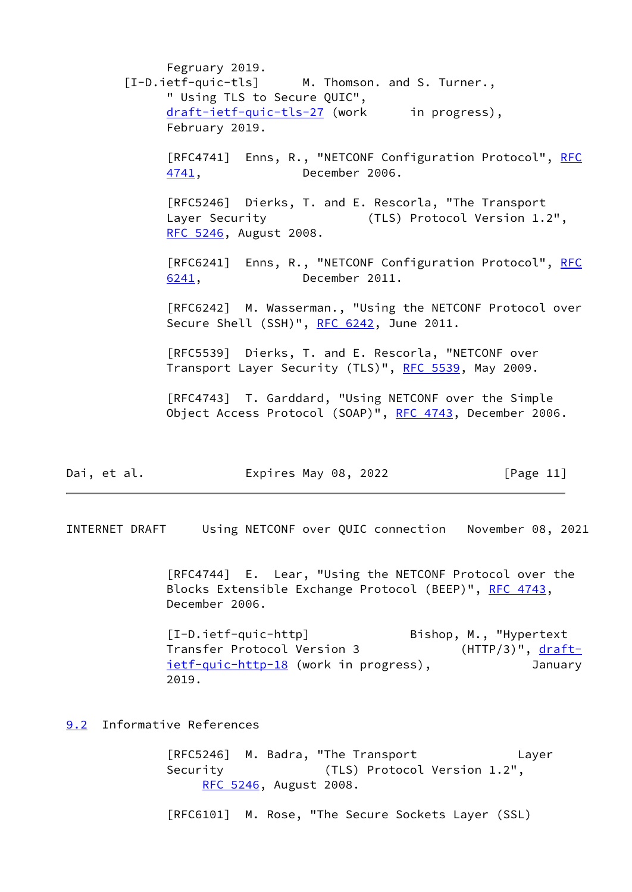Fegruary 2019. [I-D.ietf-quic-tls] M. Thomson. and S. Turner., " Using TLS to Secure QUIC", [draft-ietf-quic-tls-27](https://datatracker.ietf.org/doc/pdf/draft-ietf-quic-tls-27) (work in progress), February 2019. [RFC4741] Enns, R., "NETCONF Configuration Protocol", [RFC](https://datatracker.ietf.org/doc/pdf/rfc4741) [4741,](https://datatracker.ietf.org/doc/pdf/rfc4741) December 2006. [RFC5246] Dierks, T. and E. Rescorla, "The Transport Layer Security (TLS) Protocol Version 1.2", [RFC 5246,](https://datatracker.ietf.org/doc/pdf/rfc5246) August 2008. [RFC6241] Enns, R., "NETCONF Configuration Protocol", [RFC](https://datatracker.ietf.org/doc/pdf/rfc6241) [6241,](https://datatracker.ietf.org/doc/pdf/rfc6241) December 2011. [RFC6242] M. Wasserman., "Using the NETCONF Protocol over Secure Shell (SSH)", [RFC 6242](https://datatracker.ietf.org/doc/pdf/rfc6242), June 2011. [RFC5539] Dierks, T. and E. Rescorla, "NETCONF over Transport Layer Security (TLS)", [RFC 5539,](https://datatracker.ietf.org/doc/pdf/rfc5539) May 2009. [RFC4743] T. Garddard, "Using NETCONF over the Simple Object Access Protocol (SOAP)", [RFC 4743,](https://datatracker.ietf.org/doc/pdf/rfc4743) December 2006.

| Dai, et al. | Expires May 08, 2022 | [Page 11] |
|-------------|----------------------|-----------|
|-------------|----------------------|-----------|

<span id="page-12-1"></span>INTERNET DRAFT Using NETCONF over QUIC connection November 08, 2021

<span id="page-12-2"></span> [RFC4744] E. Lear, "Using the NETCONF Protocol over the Blocks Extensible Exchange Protocol (BEEP)", [RFC 4743](https://datatracker.ietf.org/doc/pdf/rfc4743), December 2006.

 [I-D.ietf-quic-http] Bishop, M., "Hypertext Transfer Protocol Version 3 (HTTP/3)", <u>[draft-](https://datatracker.ietf.org/doc/pdf/draft-ietf-quic-http-18)</u> [ietf-quic-http-18](https://datatracker.ietf.org/doc/pdf/draft-ietf-quic-http-18) (work in progress), January 2019.

#### <span id="page-12-0"></span>[9.2](#page-12-0) Informative References

 [RFC5246] M. Badra, "The Transport Layer Security (TLS) Protocol Version 1.2", [RFC 5246](https://datatracker.ietf.org/doc/pdf/rfc5246), August 2008.

[RFC6101] M. Rose, "The Secure Sockets Layer (SSL)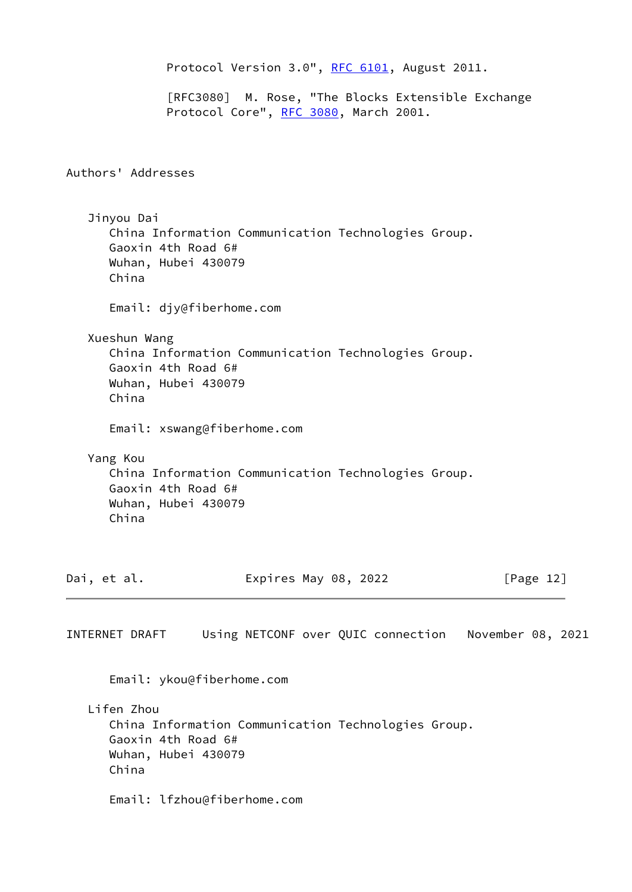```
 RFC 6101, August 2011.
              [RFC3080] M. Rose, "The Blocks Extensible Exchange
             RFC 3080, March 2001.
Authors' Addresses
   Jinyou Dai
      China Information Communication Technologies Group.
      Gaoxin 4th Road 6#
      Wuhan, Hubei 430079
      China
      Email: djy@fiberhome.com
   Xueshun Wang
      China Information Communication Technologies Group.
      Gaoxin 4th Road 6#
      Wuhan, Hubei 430079
      China
      Email: xswang@fiberhome.com
   Yang Kou
      China Information Communication Technologies Group.
      Gaoxin 4th Road 6#
      Wuhan, Hubei 430079
      China
Dai, et al. Expires May 08, 2022 [Page 12]
INTERNET DRAFT Using NETCONF over QUIC connection November 08, 2021
      Email: ykou@fiberhome.com
   Lifen Zhou
      China Information Communication Technologies Group.
      Gaoxin 4th Road 6#
      Wuhan, Hubei 430079
      China
      Email: lfzhou@fiberhome.com
```